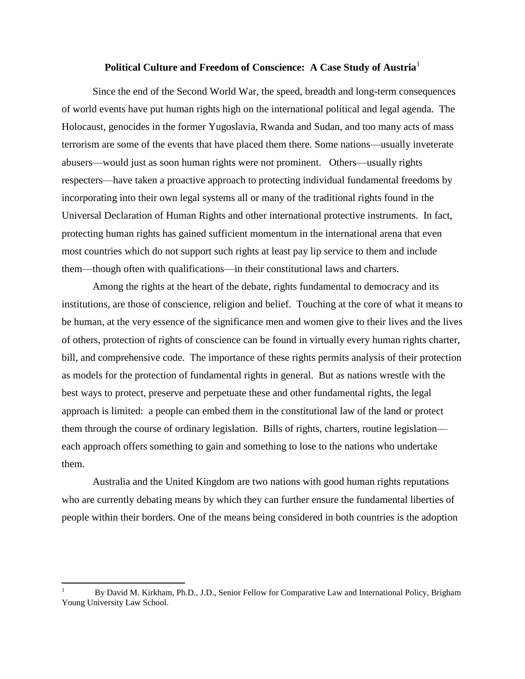# **Political Culture and Freedom of Conscience: A Case Study of Austria**<sup>1</sup>

Since the end of the Second World War, the speed, breadth and long-term consequences of world events have put human rights high on the international political and legal agenda. The Holocaust, genocides in the former Yugoslavia, Rwanda and Sudan, and too many acts of mass terrorism are some of the events that have placed them there. Some nations—usually inveterate abusers—would just as soon human rights were not prominent. Others—usually rights respecters—have taken a proactive approach to protecting individual fundamental freedoms by incorporating into their own legal systems all or many of the traditional rights found in the Universal Declaration of Human Rights and other international protective instruments. In fact, protecting human rights has gained sufficient momentum in the international arena that even most countries which do not support such rights at least pay lip service to them and include them—though often with qualifications—in their constitutional laws and charters.

Among the rights at the heart of the debate, rights fundamental to democracy and its institutions, are those of conscience, religion and belief. Touching at the core of what it means to be human, at the very essence of the significance men and women give to their lives and the lives of others, protection of rights of conscience can be found in virtually every human rights charter, bill, and comprehensive code. The importance of these rights permits analysis of their protection as models for the protection of fundamental rights in general. But as nations wrestle with the best ways to protect, preserve and perpetuate these and other fundamental rights, the legal approach is limited: a people can embed them in the constitutional law of the land or protect them through the course of ordinary legislation. Bills of rights, charters, routine legislation each approach offers something to gain and something to lose to the nations who undertake them.

Australia and the United Kingdom are two nations with good human rights reputations who are currently debating means by which they can further ensure the fundamental liberties of people within their borders. One of the means being considered in both countries is the adoption

 $\overline{\phantom{a}}$ 

<sup>1</sup> By David M. Kirkham, Ph.D., J.D., Senior Fellow for Comparative Law and International Policy, Brigham Young University Law School.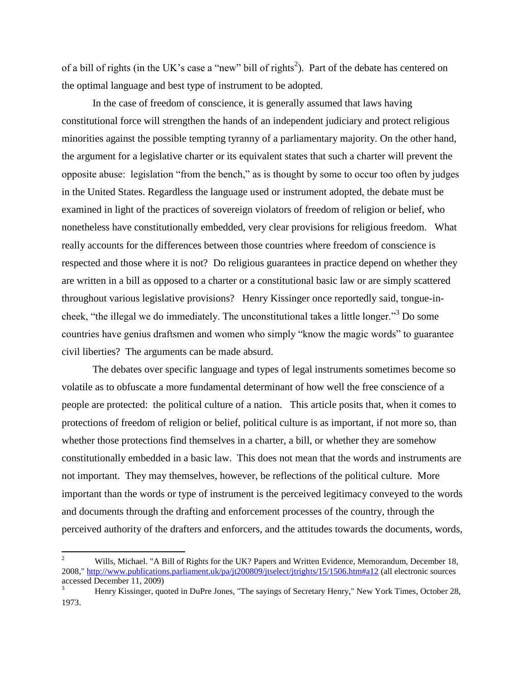of a bill of rights (in the UK's case a "new" bill of rights<sup>2</sup>). Part of the debate has centered on the optimal language and best type of instrument to be adopted.

In the case of freedom of conscience, it is generally assumed that laws having constitutional force will strengthen the hands of an independent judiciary and protect religious minorities against the possible tempting tyranny of a parliamentary majority. On the other hand, the argument for a legislative charter or its equivalent states that such a charter will prevent the opposite abuse: legislation "from the bench," as is thought by some to occur too often by judges in the United States. Regardless the language used or instrument adopted, the debate must be examined in light of the practices of sovereign violators of freedom of religion or belief, who nonetheless have constitutionally embedded, very clear provisions for religious freedom. What really accounts for the differences between those countries where freedom of conscience is respected and those where it is not? Do religious guarantees in practice depend on whether they are written in a bill as opposed to a charter or a constitutional basic law or are simply scattered throughout various legislative provisions? Henry Kissinger once reportedly said, tongue-incheek, "the illegal we do immediately. The unconstitutional takes a little longer."<sup>3</sup> Do some countries have genius draftsmen and women who simply "know the magic words" to guarantee civil liberties? The arguments can be made absurd.

The debates over specific language and types of legal instruments sometimes become so volatile as to obfuscate a more fundamental determinant of how well the free conscience of a people are protected: the political culture of a nation. This article posits that, when it comes to protections of freedom of religion or belief, political culture is as important, if not more so, than whether those protections find themselves in a charter, a bill, or whether they are somehow constitutionally embedded in a basic law. This does not mean that the words and instruments are not important. They may themselves, however, be reflections of the political culture. More important than the words or type of instrument is the perceived legitimacy conveyed to the words and documents through the drafting and enforcement processes of the country, through the perceived authority of the drafters and enforcers, and the attitudes towards the documents, words,

 $\overline{a}$ 

<sup>2</sup> Wills, Michael. "A Bill of Rights for the UK? Papers and Written Evidence, Memorandum, December 18, 2008,"<http://www.publications.parliament.uk/pa/jt200809/jtselect/jtrights/15/1506.htm#a12> (all electronic sources accessed December 11, 2009)

<sup>3</sup> Henry Kissinger, quoted in DuPre Jones, "The sayings of Secretary Henry," New York Times, October 28, 1973.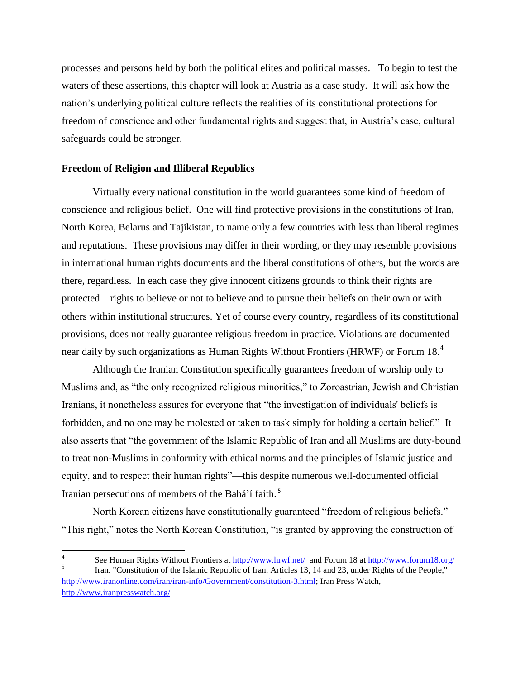processes and persons held by both the political elites and political masses. To begin to test the waters of these assertions, this chapter will look at Austria as a case study. It will ask how the nation"s underlying political culture reflects the realities of its constitutional protections for freedom of conscience and other fundamental rights and suggest that, in Austria"s case, cultural safeguards could be stronger.

# **Freedom of Religion and Illiberal Republics**

Virtually every national constitution in the world guarantees some kind of freedom of conscience and religious belief. One will find protective provisions in the constitutions of Iran, North Korea, Belarus and Tajikistan, to name only a few countries with less than liberal regimes and reputations. These provisions may differ in their wording, or they may resemble provisions in international human rights documents and the liberal constitutions of others, but the words are there, regardless. In each case they give innocent citizens grounds to think their rights are protected—rights to believe or not to believe and to pursue their beliefs on their own or with others within institutional structures. Yet of course every country, regardless of its constitutional provisions, does not really guarantee religious freedom in practice. Violations are documented near daily by such organizations as Human Rights Without Frontiers (HRWF) or Forum 18.<sup>4</sup>

Although the Iranian Constitution specifically guarantees freedom of worship only to Muslims and, as "the only recognized religious minorities," to Zoroastrian, Jewish and Christian Iranians, it nonetheless assures for everyone that "the investigation of individuals' beliefs is forbidden, and no one may be molested or taken to task simply for holding a certain belief." It also asserts that "the government of the Islamic Republic of Iran and all Muslims are duty-bound to treat non-Muslims in conformity with ethical norms and the principles of Islamic justice and equity, and to respect their human rights"—this despite numerous well-documented official Iranian persecutions of members of the Bahá"í faith. <sup>5</sup>

North Korean citizens have constitutionally guaranteed "freedom of religious beliefs." "This right," notes the North Korean Constitution, "is granted by approving the construction of

 $\overline{\phantom{a}}$ 4 See Human Rights Without Frontiers at http://www.hrwf.net/ and Forum 18 at<http://www.forum18.org/> 5 Iran. "Constitution of the Islamic Republic of Iran, Articles 13, 14 and 23, under Rights of the People," [http://www.iranonline.com/iran/iran-info/Government/constitution-3.html;](http://www.iranonline.com/iran/iran-info/Government/constitution-3.html) Iran Press Watch, <http://www.iranpresswatch.org/>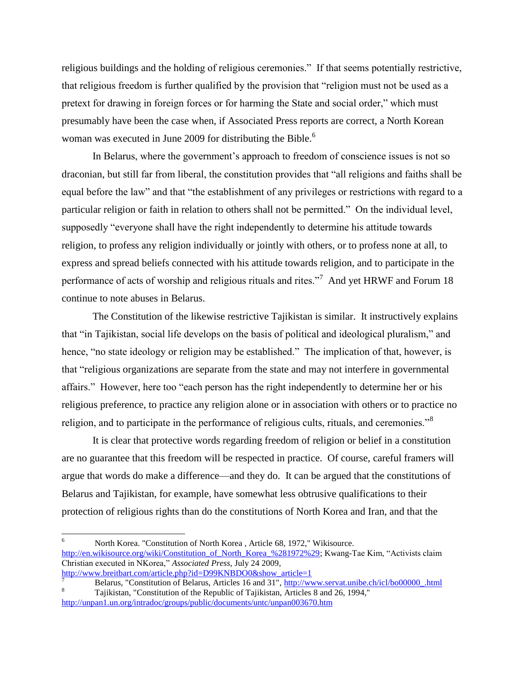religious buildings and the holding of religious ceremonies." If that seems potentially restrictive, that religious freedom is further qualified by the provision that "religion must not be used as a pretext for drawing in foreign forces or for harming the State and social order," which must presumably have been the case when, if Associated Press reports are correct, a North Korean woman was executed in June 2009 for distributing the Bible.<sup>6</sup>

In Belarus, where the government's approach to freedom of conscience issues is not so draconian, but still far from liberal, the constitution provides that "all religions and faiths shall be equal before the law" and that "the establishment of any privileges or restrictions with regard to a particular religion or faith in relation to others shall not be permitted." On the individual level, supposedly "everyone shall have the right independently to determine his attitude towards religion, to profess any religion individually or jointly with others, or to profess none at all, to express and spread beliefs connected with his attitude towards religion, and to participate in the performance of acts of worship and religious rituals and rites."<sup>7</sup> And yet HRWF and Forum 18 continue to note abuses in Belarus.

The Constitution of the likewise restrictive Tajikistan is similar. It instructively explains that "in Tajikistan, social life develops on the basis of political and ideological pluralism," and hence, "no state ideology or religion may be established." The implication of that, however, is that "religious organizations are separate from the state and may not interfere in governmental affairs." However, here too "each person has the right independently to determine her or his religious preference, to practice any religion alone or in association with others or to practice no religion, and to participate in the performance of religious cults, rituals, and ceremonies."<sup>8</sup>

It is clear that protective words regarding freedom of religion or belief in a constitution are no guarantee that this freedom will be respected in practice. Of course, careful framers will argue that words do make a difference—and they do. It can be argued that the constitutions of Belarus and Tajikistan, for example, have somewhat less obtrusive qualifications to their protection of religious rights than do the constitutions of North Korea and Iran, and that the

 $\overline{a}$ 

<sup>6</sup> North Korea. "Constitution of North Korea , Article 68, 1972," Wikisource*.* [http://en.wikisource.org/wiki/Constitution\\_of\\_North\\_Korea\\_%281972%29;](http://en.wikisource.org/wiki/Constitution_of_North_Korea_(1972)) Kwang-Tae Kim, "Activists claim Christian executed in NKorea," *Associated Press*, July 24 2009,

[http://www.breitbart.com/article.php?id=D99KNBDO0&show\\_article=1](http://www.breitbart.com/article.php?id=D99KNBDO0&show_article=1)

<sup>7</sup> Belarus, "Constitution of Belarus, Articles 16 and 31", [http://www.servat.unibe.ch/icl/bo00000\\_.html](http://www.servat.unibe.ch/icl/bo00000_.html) <sup>8</sup> Tajikistan, "Constitution of the Republic of Tajikistan, Articles 8 and 26, 1994," <http://unpan1.un.org/intradoc/groups/public/documents/untc/unpan003670.htm>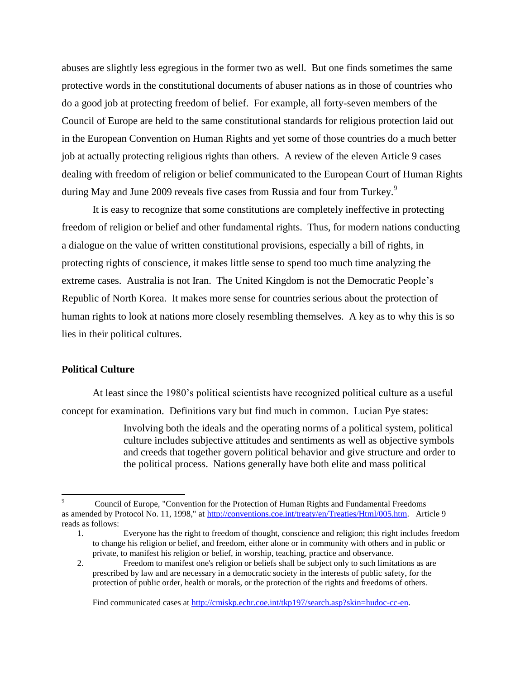abuses are slightly less egregious in the former two as well. But one finds sometimes the same protective words in the constitutional documents of abuser nations as in those of countries who do a good job at protecting freedom of belief. For example, all forty-seven members of the Council of Europe are held to the same constitutional standards for religious protection laid out in the European Convention on Human Rights and yet some of those countries do a much better job at actually protecting religious rights than others. A review of the eleven Article 9 cases dealing with freedom of religion or belief communicated to the European Court of Human Rights during May and June 2009 reveals five cases from Russia and four from Turkey.<sup>9</sup>

It is easy to recognize that some constitutions are completely ineffective in protecting freedom of religion or belief and other fundamental rights. Thus, for modern nations conducting a dialogue on the value of written constitutional provisions, especially a bill of rights, in protecting rights of conscience, it makes little sense to spend too much time analyzing the extreme cases. Australia is not Iran. The United Kingdom is not the Democratic People"s Republic of North Korea. It makes more sense for countries serious about the protection of human rights to look at nations more closely resembling themselves. A key as to why this is so lies in their political cultures.

# **Political Culture**

 $\overline{a}$ 

At least since the 1980"s political scientists have recognized political culture as a useful concept for examination. Definitions vary but find much in common. Lucian Pye states:

> Involving both the ideals and the operating norms of a political system, political culture includes subjective attitudes and sentiments as well as objective symbols and creeds that together govern political behavior and give structure and order to the political process. Nations generally have both elite and mass political

<sup>9</sup> Council of Europe, "Convention for the Protection of Human Rights and Fundamental Freedoms as amended by Protocol No. 11, 1998," at [http://conventions.coe.int/treaty/en/Treaties/Html/005.htm.](http://conventions.coe.int/treaty/en/Treaties/Html/005.htm) Article 9 reads as follows:

<sup>1.</sup> Everyone has the right to freedom of thought, conscience and religion; this right includes freedom to change his religion or belief, and freedom, either alone or in community with others and in public or private, to manifest his religion or belief, in worship, teaching, practice and observance.

<sup>2.</sup> Freedom to manifest one's religion or beliefs shall be subject only to such limitations as are prescribed by law and are necessary in a democratic society in the interests of public safety, for the protection of public order, health or morals, or the protection of the rights and freedoms of others.

Find communicated cases at http://cmiskp.echr.coe.int/tkp197/search.asp?skin=hudoc-cc-en.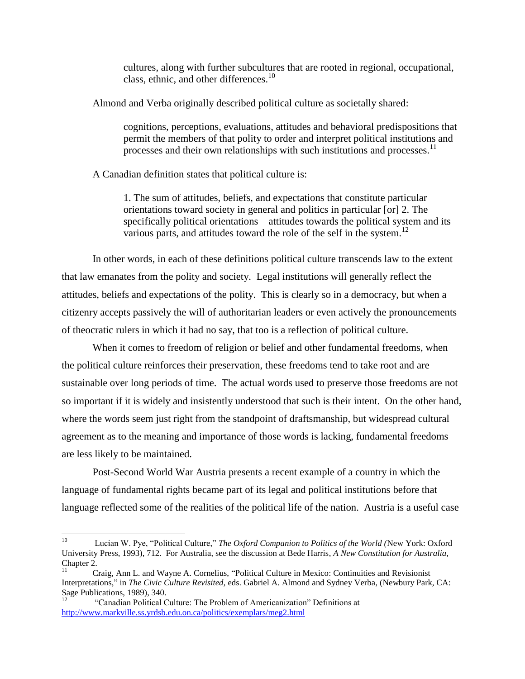cultures, along with further subcultures that are rooted in regional, occupational, class, ethnic, and other differences.<sup>10</sup>

Almond and Verba originally described political culture as societally shared:

cognitions, perceptions, evaluations, attitudes and behavioral predispositions that permit the members of that polity to order and interpret political institutions and processes and their own relationships with such institutions and processes.<sup>11</sup>

A Canadian definition states that political culture is:

1. The sum of attitudes, beliefs, and expectations that constitute particular orientations toward society in general and politics in particular [or] 2. The specifically political orientations—attitudes towards the political system and its various parts, and attitudes toward the role of the self in the system.<sup>12</sup>

In other words, in each of these definitions political culture transcends law to the extent that law emanates from the polity and society. Legal institutions will generally reflect the attitudes, beliefs and expectations of the polity. This is clearly so in a democracy, but when a citizenry accepts passively the will of authoritarian leaders or even actively the pronouncements of theocratic rulers in which it had no say, that too is a reflection of political culture.

When it comes to freedom of religion or belief and other fundamental freedoms, when the political culture reinforces their preservation, these freedoms tend to take root and are sustainable over long periods of time. The actual words used to preserve those freedoms are not so important if it is widely and insistently understood that such is their intent. On the other hand, where the words seem just right from the standpoint of draftsmanship, but widespread cultural agreement as to the meaning and importance of those words is lacking, fundamental freedoms are less likely to be maintained.

Post-Second World War Austria presents a recent example of a country in which the language of fundamental rights became part of its legal and political institutions before that language reflected some of the realities of the political life of the nation. Austria is a useful case

 $10<sup>10</sup>$ <sup>10</sup> Lucian W. Pye, "Political Culture," *The Oxford Companion to Politics of the World (*New York: Oxford University Press, 1993), 712. For Australia, see the discussion at Bede Harris, *A New Constitution for Australia,* Chapter 2.

<sup>11</sup> Craig, Ann L. and Wayne A. Cornelius, "Political Culture in Mexico: Continuities and Revisionist Interpretations," in *The Civic Culture Revisited,* eds. Gabriel A. Almond and Sydney Verba, (Newbury Park, CA: Sage Publications, 1989), 340.

<sup>12</sup> "Canadian Political Culture: The Problem of Americanization" Definitions at <http://www.markville.ss.yrdsb.edu.on.ca/politics/exemplars/meg2.html>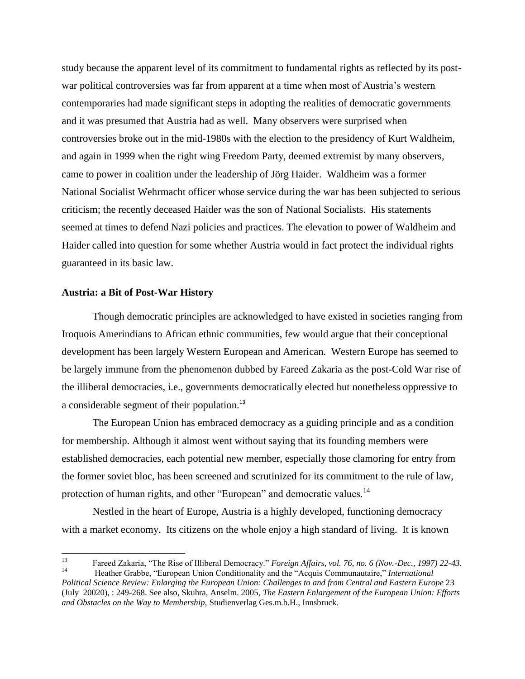study because the apparent level of its commitment to fundamental rights as reflected by its postwar political controversies was far from apparent at a time when most of Austria"s western contemporaries had made significant steps in adopting the realities of democratic governments and it was presumed that Austria had as well. Many observers were surprised when controversies broke out in the mid-1980s with the election to the presidency of Kurt Waldheim, and again in 1999 when the right wing Freedom Party, deemed extremist by many observers, came to power in coalition under the leadership of Jörg Haider. Waldheim was a former National Socialist Wehrmacht officer whose service during the war has been subjected to serious criticism; the recently deceased Haider was the son of National Socialists. His statements seemed at times to defend Nazi policies and practices. The elevation to power of Waldheim and Haider called into question for some whether Austria would in fact protect the individual rights guaranteed in its basic law.

### **Austria: a Bit of Post-War History**

Though democratic principles are acknowledged to have existed in societies ranging from Iroquois Amerindians to African ethnic communities, few would argue that their conceptional development has been largely Western European and American. Western Europe has seemed to be largely immune from the phenomenon dubbed by Fareed Zakaria as the post-Cold War rise of the illiberal democracies, i.e., governments democratically elected but nonetheless oppressive to a considerable segment of their population.<sup>13</sup>

The European Union has embraced democracy as a guiding principle and as a condition for membership. Although it almost went without saying that its founding members were established democracies, each potential new member, especially those clamoring for entry from the former soviet bloc, has been screened and scrutinized for its commitment to the rule of law, protection of human rights, and other "European" and democratic values.<sup>14</sup>

Nestled in the heart of Europe, Austria is a highly developed, functioning democracy with a market economy. Its citizens on the whole enjoy a high standard of living. It is known

<sup>13</sup> <sup>13</sup> Fareed Zakaria, "The Rise of Illiberal Democracy." *Foreign Affairs, vol. 76, no. 6 (Nov.-Dec., 1997) 22-43.* <sup>14</sup> Heather Grabbe, "European Union Conditionality and the "Acquis Communautaire," *International* 

*Political Science Review: Enlarging the European Union: Challenges to and from Central and Eastern Europe* 23 (July 20020), : 249-268. See also, Skuhra, Anselm. 2005, *The Eastern Enlargement of the European Union: Efforts and Obstacles on the Way to Membership,* Studienverlag Ges.m.b.H., Innsbruck.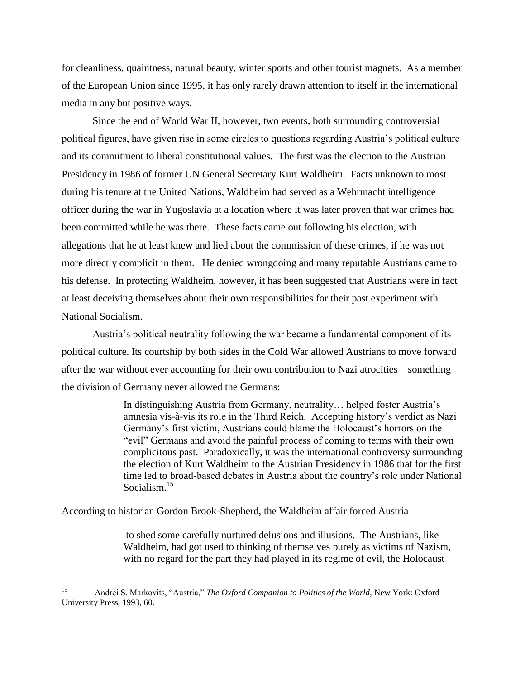for cleanliness, quaintness, natural beauty, winter sports and other tourist magnets. As a member of the European Union since 1995, it has only rarely drawn attention to itself in the international media in any but positive ways.

Since the end of World War II, however, two events, both surrounding controversial political figures, have given rise in some circles to questions regarding Austria"s political culture and its commitment to liberal constitutional values. The first was the election to the Austrian Presidency in 1986 of former UN General Secretary Kurt Waldheim. Facts unknown to most during his tenure at the United Nations, Waldheim had served as a Wehrmacht intelligence officer during the war in Yugoslavia at a location where it was later proven that war crimes had been committed while he was there. These facts came out following his election, with allegations that he at least knew and lied about the commission of these crimes, if he was not more directly complicit in them. He denied wrongdoing and many reputable Austrians came to his defense. In protecting Waldheim, however, it has been suggested that Austrians were in fact at least deceiving themselves about their own responsibilities for their past experiment with National Socialism.

Austria"s political neutrality following the war became a fundamental component of its political culture. Its courtship by both sides in the Cold War allowed Austrians to move forward after the war without ever accounting for their own contribution to Nazi atrocities—something the division of Germany never allowed the Germans:

> In distinguishing Austria from Germany, neutrality… helped foster Austria"s amnesia vis-à-vis its role in the Third Reich. Accepting history"s verdict as Nazi Germany's first victim, Austrians could blame the Holocaust's horrors on the "evil" Germans and avoid the painful process of coming to terms with their own complicitous past. Paradoxically, it was the international controversy surrounding the election of Kurt Waldheim to the Austrian Presidency in 1986 that for the first time led to broad-based debates in Austria about the country"s role under National Socialism<sup>15</sup>

According to historian Gordon Brook-Shepherd, the Waldheim affair forced Austria

to shed some carefully nurtured delusions and illusions. The Austrians, like Waldheim, had got used to thinking of themselves purely as victims of Nazism, with no regard for the part they had played in its regime of evil, the Holocaust

 $15$ <sup>15</sup> Andrei S. Markovits, "Austria," *The Oxford Companion to Politics of the World,* New York: Oxford University Press, 1993, 60.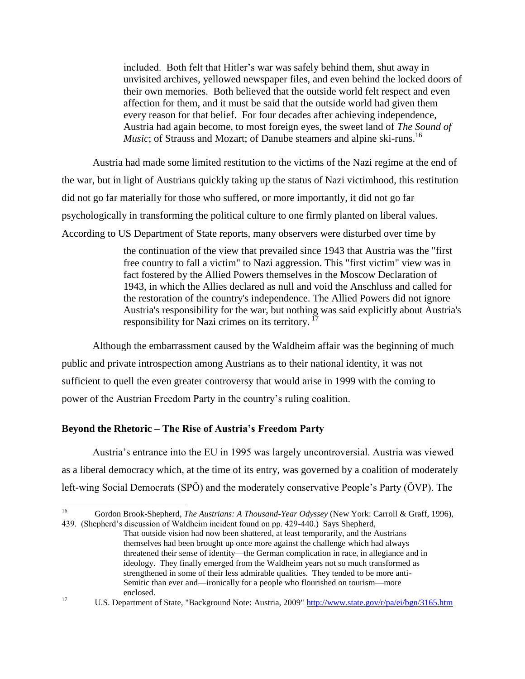included. Both felt that Hitler"s war was safely behind them, shut away in unvisited archives, yellowed newspaper files, and even behind the locked doors of their own memories. Both believed that the outside world felt respect and even affection for them, and it must be said that the outside world had given them every reason for that belief. For four decades after achieving independence, Austria had again become, to most foreign eyes, the sweet land of *The Sound of Music*; of Strauss and Mozart; of Danube steamers and alpine ski-runs.<sup>16</sup>

Austria had made some limited restitution to the victims of the Nazi regime at the end of the war, but in light of Austrians quickly taking up the status of Nazi victimhood, this restitution did not go far materially for those who suffered, or more importantly, it did not go far psychologically in transforming the political culture to one firmly planted on liberal values. According to US Department of State reports, many observers were disturbed over time by

> the continuation of the view that prevailed since 1943 that Austria was the "first free country to fall a victim" to Nazi aggression. This "first victim" view was in fact fostered by the Allied Powers themselves in the Moscow Declaration of 1943, in which the Allies declared as null and void the Anschluss and called for the restoration of the country's independence. The Allied Powers did not ignore Austria's responsibility for the war, but nothing was said explicitly about Austria's responsibility for Nazi crimes on its territory.<sup>17</sup>

Although the embarrassment caused by the Waldheim affair was the beginning of much public and private introspection among Austrians as to their national identity, it was not sufficient to quell the even greater controversy that would arise in 1999 with the coming to power of the Austrian Freedom Party in the country"s ruling coalition.

# **Beyond the Rhetoric – The Rise of Austria's Freedom Party**

Austria"s entrance into the EU in 1995 was largely uncontroversial. Austria was viewed as a liberal democracy which, at the time of its entry, was governed by a coalition of moderately left-wing Social Democrats (SPÖ) and the moderately conservative People"s Party (ÖVP). The

 $16\,$ <sup>16</sup> Gordon Brook-Shepherd, *The Austrians: A Thousand-Year Odyssey* (New York: Carroll & Graff, 1996), 439. (Shepherd's discussion of Waldheim incident found on pp. 429-440.) Says Shepherd,

That outside vision had now been shattered, at least temporarily, and the Austrians themselves had been brought up once more against the challenge which had always threatened their sense of identity—the German complication in race, in allegiance and in ideology. They finally emerged from the Waldheim years not so much transformed as strengthened in some of their less admirable qualities. They tended to be more anti-Semitic than ever and—ironically for a people who flourished on tourism—more enclosed.

<sup>&</sup>lt;sup>17</sup> U.S. Department of State, "Background Note: Austria, 2009"<http://www.state.gov/r/pa/ei/bgn/3165.htm>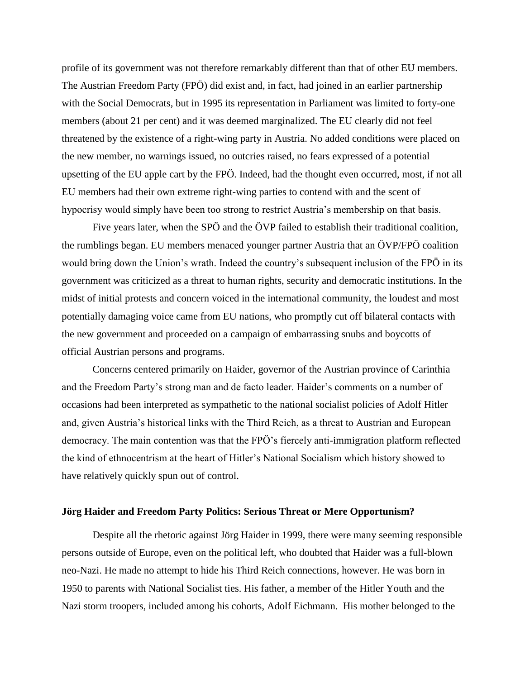profile of its government was not therefore remarkably different than that of other EU members. The Austrian Freedom Party (FPÖ) did exist and, in fact, had joined in an earlier partnership with the Social Democrats, but in 1995 its representation in Parliament was limited to forty-one members (about 21 per cent) and it was deemed marginalized. The EU clearly did not feel threatened by the existence of a right-wing party in Austria. No added conditions were placed on the new member, no warnings issued, no outcries raised, no fears expressed of a potential upsetting of the EU apple cart by the FPÖ. Indeed, had the thought even occurred, most, if not all EU members had their own extreme right-wing parties to contend with and the scent of hypocrisy would simply have been too strong to restrict Austria"s membership on that basis.

Five years later, when the SPÖ and the ÖVP failed to establish their traditional coalition, the rumblings began. EU members menaced younger partner Austria that an ÖVP/FPÖ coalition would bring down the Union's wrath. Indeed the country's subsequent inclusion of the FPÖ in its government was criticized as a threat to human rights, security and democratic institutions. In the midst of initial protests and concern voiced in the international community, the loudest and most potentially damaging voice came from EU nations, who promptly cut off bilateral contacts with the new government and proceeded on a campaign of embarrassing snubs and boycotts of official Austrian persons and programs.

Concerns centered primarily on Haider, governor of the Austrian province of Carinthia and the Freedom Party"s strong man and de facto leader. Haider"s comments on a number of occasions had been interpreted as sympathetic to the national socialist policies of Adolf Hitler and, given Austria"s historical links with the Third Reich, as a threat to Austrian and European democracy. The main contention was that the FPÖ's fiercely anti-immigration platform reflected the kind of ethnocentrism at the heart of Hitler"s National Socialism which history showed to have relatively quickly spun out of control.

#### **Jörg Haider and Freedom Party Politics: Serious Threat or Mere Opportunism?**

Despite all the rhetoric against Jörg Haider in 1999, there were many seeming responsible persons outside of Europe, even on the political left, who doubted that Haider was a full-blown neo-Nazi. He made no attempt to hide his Third Reich connections, however. He was born in 1950 to parents with National Socialist ties. His father, a member of the Hitler Youth and the Nazi storm troopers, included among his cohorts, Adolf Eichmann. His mother belonged to the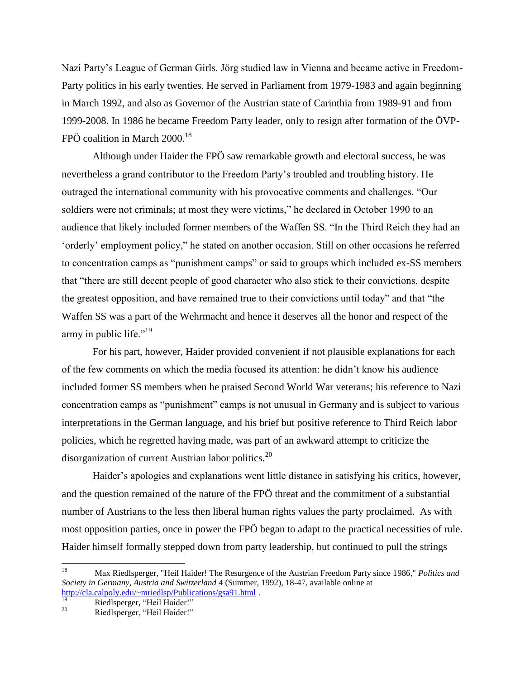Nazi Party"s League of German Girls. Jörg studied law in Vienna and became active in Freedom-Party politics in his early twenties. He served in Parliament from 1979-1983 and again beginning in March 1992, and also as Governor of the Austrian state of Carinthia from 1989-91 and from 1999-2008. In 1986 he became Freedom Party leader, only to resign after formation of the ÖVP-FPÖ coalition in March  $2000$ <sup>18</sup>

Although under Haider the FPÖ saw remarkable growth and electoral success, he was nevertheless a grand contributor to the Freedom Party"s troubled and troubling history. He outraged the international community with his provocative comments and challenges. "Our soldiers were not criminals; at most they were victims," he declared in October 1990 to an audience that likely included former members of the Waffen SS. "In the Third Reich they had an "orderly" employment policy," he stated on another occasion. Still on other occasions he referred to concentration camps as "punishment camps" or said to groups which included ex-SS members that "there are still decent people of good character who also stick to their convictions, despite the greatest opposition, and have remained true to their convictions until today" and that "the Waffen SS was a part of the Wehrmacht and hence it deserves all the honor and respect of the army in public life."<sup>19</sup>

For his part, however, Haider provided convenient if not plausible explanations for each of the few comments on which the media focused its attention: he didn"t know his audience included former SS members when he praised Second World War veterans; his reference to Nazi concentration camps as "punishment" camps is not unusual in Germany and is subject to various interpretations in the German language, and his brief but positive reference to Third Reich labor policies, which he regretted having made, was part of an awkward attempt to criticize the disorganization of current Austrian labor politics.<sup>20</sup>

Haider's apologies and explanations went little distance in satisfying his critics, however, and the question remained of the nature of the FPÖ threat and the commitment of a substantial number of Austrians to the less then liberal human rights values the party proclaimed. As with most opposition parties, once in power the FPÖ began to adapt to the practical necessities of rule. Haider himself formally stepped down from party leadership, but continued to pull the strings

<sup>18</sup> <sup>18</sup> Max Riedlsperger, "Heil Haider! The Resurgence of the Austrian Freedom Party since 1986," *Politics and Society in Germany, Austria and Switzerland* 4 (Summer, 1992), 18-47, available online at <http://cla.calpoly.edu/~mriedlsp/Publications/gsa91.html> .

<sup>&</sup>lt;sup>19</sup> Riedlsperger, "Heil Haider!"

Riedlsperger, "Heil Haider!"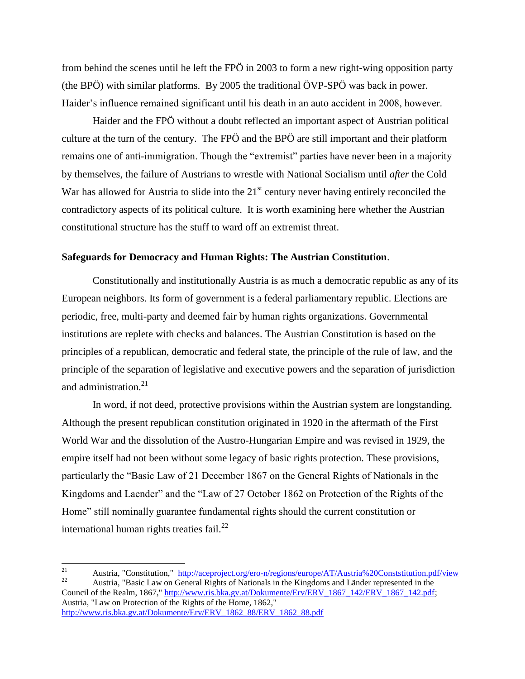from behind the scenes until he left the FPÖ in 2003 to form a new right-wing opposition party (the BPÖ) with similar platforms. By 2005 the traditional ÖVP-SPÖ was back in power. Haider's influence remained significant until his death in an auto accident in 2008, however.

Haider and the FPÖ without a doubt reflected an important aspect of Austrian political culture at the turn of the century. The FPÖ and the BPÖ are still important and their platform remains one of anti-immigration. Though the "extremist" parties have never been in a majority by themselves, the failure of Austrians to wrestle with National Socialism until *after* the Cold War has allowed for Austria to slide into the  $21<sup>st</sup>$  century never having entirely reconciled the contradictory aspects of its political culture. It is worth examining here whether the Austrian constitutional structure has the stuff to ward off an extremist threat.

### **Safeguards for Democracy and Human Rights: The Austrian Constitution**.

Constitutionally and institutionally Austria is as much a democratic republic as any of its European neighbors. Its form of government is a federal parliamentary republic. Elections are periodic, free, multi-party and deemed fair by human rights organizations. Governmental institutions are replete with checks and balances. The Austrian Constitution is based on the principles of a republican, democratic and federal state, the principle of the rule of law, and the principle of the separation of legislative and executive powers and the separation of jurisdiction and administration. $21$ 

In word, if not deed, protective provisions within the Austrian system are longstanding. Although the present republican constitution originated in 1920 in the aftermath of the First World War and the dissolution of the Austro-Hungarian Empire and was revised in 1929, the empire itself had not been without some legacy of basic rights protection. These provisions, particularly the "Basic Law of 21 December 1867 on the General Rights of Nationals in the Kingdoms and Laender" and the "Law of 27 October 1862 on Protection of the Rights of the Home" still nominally guarantee fundamental rights should the current constitution or international human rights treaties fail. $^{22}$ 

 $21$ 21 Austria, "Constitution,"  $\frac{http://accepto-ncg/ero-n/regions/europe/AT/Austria%20Constitution.pdf/view}{\text{Aysta}}$ <sup>22</sup> Austria, "Basic Law on General Rights of Nationals in the Kingdoms and Länder represented in the Council of the Realm, 1867," [http://www.ris.bka.gv.at/Dokumente/Erv/ERV\\_1867\\_142/ERV\\_1867\\_142.pdf;](http://www.ris.bka.gv.at/Dokumente/Erv/ERV_1867_142/ERV_1867_142.pdf) Austria, "Law on Protection of the Rights of the Home, 1862," [http://www.ris.bka.gv.at/Dokumente/Erv/ERV\\_1862\\_88/ERV\\_1862\\_88.pdf](http://www.ris.bka.gv.at/Dokumente/Erv/ERV_1862_88/ERV_1862_88.pdf)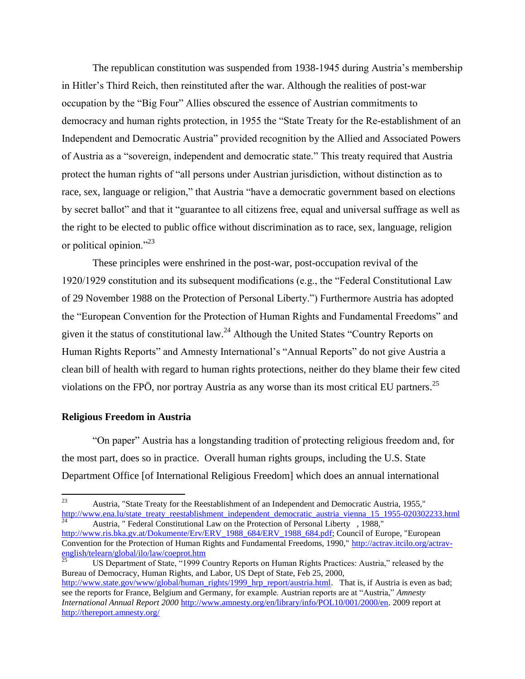The republican constitution was suspended from 1938-1945 during Austria"s membership in Hitler"s Third Reich, then reinstituted after the war. Although the realities of post-war occupation by the "Big Four" Allies obscured the essence of Austrian commitments to democracy and human rights protection, in 1955 the "State Treaty for the Re-establishment of an Independent and Democratic Austria" provided recognition by the Allied and Associated Powers of Austria as a "sovereign, independent and democratic state." This treaty required that Austria protect the human rights of "all persons under Austrian jurisdiction, without distinction as to race, sex, language or religion," that Austria "have a democratic government based on elections by secret ballot" and that it "guarantee to all citizens free, equal and universal suffrage as well as the right to be elected to public office without discrimination as to race, sex, language, religion or political opinion."<sup>23</sup>

These principles were enshrined in the post-war, post-occupation revival of the 1920/1929 constitution and its subsequent modifications (e.g., the "Federal Constitutional Law of 29 November 1988 on the Protection of Personal Liberty.") Furthermore Austria has adopted the "European Convention for the Protection of Human Rights and Fundamental Freedoms" and given it the status of constitutional law.<sup>24</sup> Although the United States "Country Reports on Human Rights Reports" and Amnesty International"s "Annual Reports" do not give Austria a clean bill of health with regard to human rights protections, neither do they blame their few cited violations on the FPÖ, nor portray Austria as any worse than its most critical EU partners.<sup>25</sup>

# **Religious Freedom in Austria**

"On paper" Austria has a longstanding tradition of protecting religious freedom and, for the most part, does so in practice. Overall human rights groups, including the U.S. State Department Office [of International Religious Freedom] which does an annual international

<sup>23</sup> <sup>23</sup> Austria, "State Treaty for the Reestablishment of an Independent and Democratic Austria, 1955," [http://www.ena.lu/state\\_treaty\\_reestablishment\\_independent\\_democratic\\_austria\\_vienna\\_15\\_1955-020302233.html](http://www.ena.lu/state_treaty_reestablishment_independent_democratic_austria_vienna_15_1955-020302233.html) <sup>24</sup> Austria, " Federal Constitutional Law on the Protection of Personal Liberty , 1988,"

[http://www.ris.bka.gv.at/Dokumente/Erv/ERV\\_1988\\_684/ERV\\_1988\\_684.pdf;](http://www.ris.bka.gv.at/Dokumente/Erv/ERV_1988_684/ERV_1988_684.pdf) Council of Europe, "European Convention for the Protection of Human Rights and Fundamental Freedoms, 1990," http://actrav.itcilo.org/actravenglish/telearn/global/ilo/law/coeprot.htm

<sup>25</sup> US Department of State, "1999 Country Reports on Human Rights Practices: Austria," released by the Bureau of Democracy, Human Rights, and Labor, US Dept of State, Feb 25, 2000, [http://www.state.gov/www/global/human\\_rights/1999\\_hrp\\_report/austria.html.](http://www.state.gov/www/global/human_rights/1999_hrp_report/austria.html) That is, if Austria is even as bad; see the reports for France, Belgium and Germany, for example. Austrian reports are at "Austria," *Amnesty International Annual Report 2000* [http://www.amnesty.org/en/library/info/POL10/001/2000/en.](http://www.amnesty.org/en/library/info/POL10/001/2000/en) 2009 report at <http://thereport.amnesty.org/>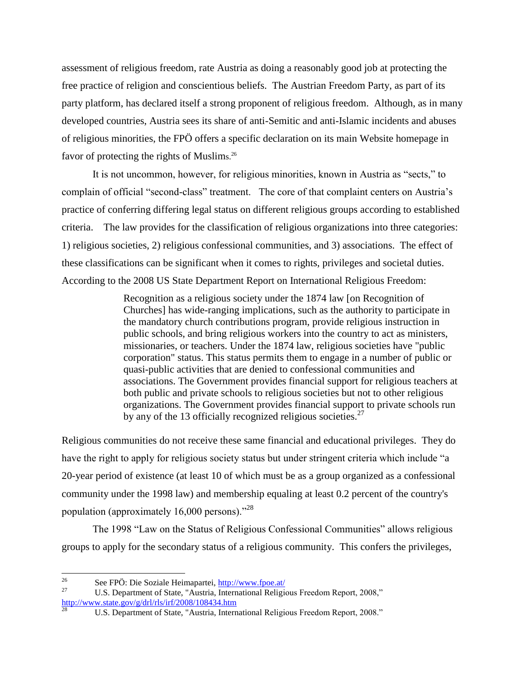assessment of religious freedom, rate Austria as doing a reasonably good job at protecting the free practice of religion and conscientious beliefs. The Austrian Freedom Party, as part of its party platform, has declared itself a strong proponent of religious freedom. Although, as in many developed countries, Austria sees its share of anti-Semitic and anti-Islamic incidents and abuses of religious minorities, the FPÖ offers a specific declaration on its main Website homepage in favor of protecting the rights of Muslims.<sup>26</sup>

It is not uncommon, however, for religious minorities, known in Austria as "sects," to complain of official "second-class" treatment. The core of that complaint centers on Austria"s practice of conferring differing legal status on different religious groups according to established criteria. The law provides for the classification of religious organizations into three categories: 1) religious societies, 2) religious confessional communities, and 3) associations. The effect of these classifications can be significant when it comes to rights, privileges and societal duties. According to the 2008 US State Department Report on International Religious Freedom:

> Recognition as a religious society under the 1874 law [on Recognition of Churches] has wide-ranging implications, such as the authority to participate in the mandatory church contributions program, provide religious instruction in public schools, and bring religious workers into the country to act as ministers, missionaries, or teachers. Under the 1874 law, religious societies have "public corporation" status. This status permits them to engage in a number of public or quasi-public activities that are denied to confessional communities and associations. The Government provides financial support for religious teachers at both public and private schools to religious societies but not to other religious organizations. The Government provides financial support to private schools run by any of the 13 officially recognized religious societies.<sup>27</sup>

Religious communities do not receive these same financial and educational privileges. They do have the right to apply for religious society status but under stringent criteria which include "a 20-year period of existence (at least 10 of which must be as a group organized as a confessional community under the 1998 law) and membership equaling at least 0.2 percent of the country's population (approximately 16,000 persons)."<sup>28</sup>

The 1998 "Law on the Status of Religious Confessional Communities" allows religious groups to apply for the secondary status of a religious community. This confers the privileges,

 $26\overline{)}$ <sup>26</sup> See FPÖ: Die Soziale Heimapartei,  $\frac{http://www.fpoe.at/27}{http://www.fpoe.at/27}$ 

U.S. Department of State, "Austria, International Religious Freedom Report, 2008," <http://www.state.gov/g/drl/rls/irf/2008/108434.htm>

U.S. Department of State, "Austria, International Religious Freedom Report, 2008."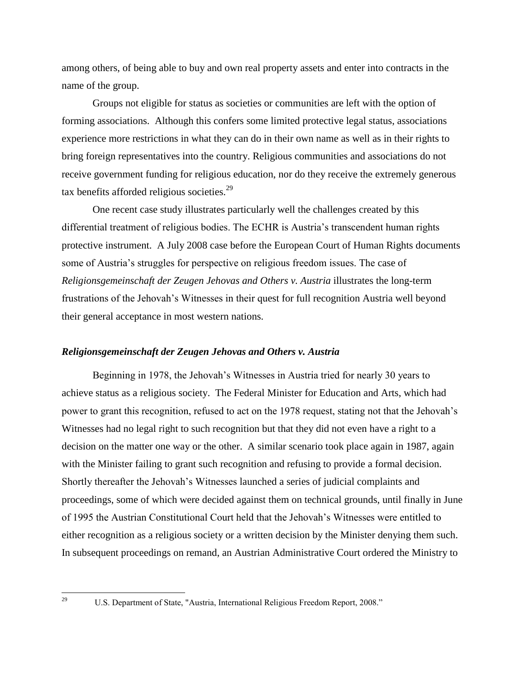among others, of being able to buy and own real property assets and enter into contracts in the name of the group.

Groups not eligible for status as societies or communities are left with the option of forming associations. Although this confers some limited protective legal status, associations experience more restrictions in what they can do in their own name as well as in their rights to bring foreign representatives into the country. Religious communities and associations do not receive government funding for religious education, nor do they receive the extremely generous tax benefits afforded religious societies.<sup>29</sup>

One recent case study illustrates particularly well the challenges created by this differential treatment of religious bodies. The ECHR is Austria"s transcendent human rights protective instrument. A July 2008 case before the European Court of Human Rights documents some of Austria"s struggles for perspective on religious freedom issues. The case of *Religionsgemeinschaft der Zeugen Jehovas and Others v. Austria* illustrates the long-term frustrations of the Jehovah"s Witnesses in their quest for full recognition Austria well beyond their general acceptance in most western nations.

## *Religionsgemeinschaft der Zeugen Jehovas and Others v. Austria*

Beginning in 1978, the Jehovah"s Witnesses in Austria tried for nearly 30 years to achieve status as a religious society. The Federal Minister for Education and Arts, which had power to grant this recognition, refused to act on the 1978 request, stating not that the Jehovah"s Witnesses had no legal right to such recognition but that they did not even have a right to a decision on the matter one way or the other. A similar scenario took place again in 1987, again with the Minister failing to grant such recognition and refusing to provide a formal decision. Shortly thereafter the Jehovah"s Witnesses launched a series of judicial complaints and proceedings, some of which were decided against them on technical grounds, until finally in June of 1995 the Austrian Constitutional Court held that the Jehovah"s Witnesses were entitled to either recognition as a religious society or a written decision by the Minister denying them such. In subsequent proceedings on remand, an Austrian Administrative Court ordered the Ministry to

<sup>29</sup> 

U.S. Department of State, "Austria, International Religious Freedom Report, 2008."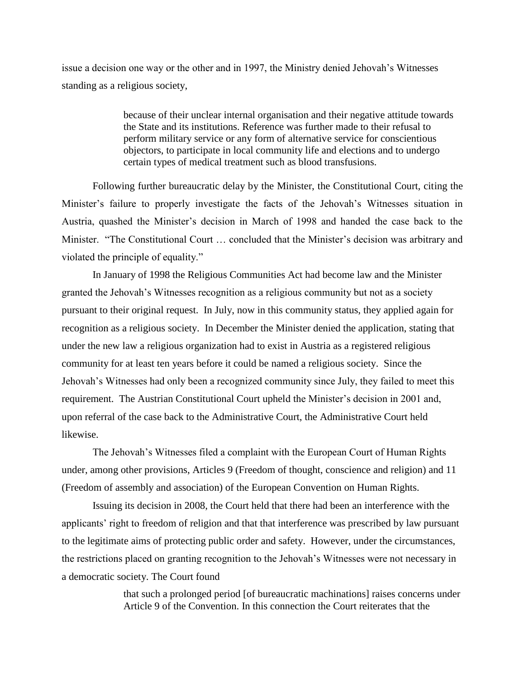issue a decision one way or the other and in 1997, the Ministry denied Jehovah"s Witnesses standing as a religious society,

> because of their unclear internal organisation and their negative attitude towards the State and its institutions. Reference was further made to their refusal to perform military service or any form of alternative service for conscientious objectors, to participate in local community life and elections and to undergo certain types of medical treatment such as blood transfusions.

Following further bureaucratic delay by the Minister, the Constitutional Court, citing the Minister"s failure to properly investigate the facts of the Jehovah"s Witnesses situation in Austria, quashed the Minister's decision in March of 1998 and handed the case back to the Minister. "The Constitutional Court ... concluded that the Minister's decision was arbitrary and violated the principle of equality."

In January of 1998 the Religious Communities Act had become law and the Minister granted the Jehovah"s Witnesses recognition as a religious community but not as a society pursuant to their original request. In July, now in this community status, they applied again for recognition as a religious society. In December the Minister denied the application, stating that under the new law a religious organization had to exist in Austria as a registered religious community for at least ten years before it could be named a religious society. Since the Jehovah"s Witnesses had only been a recognized community since July, they failed to meet this requirement. The Austrian Constitutional Court upheld the Minister's decision in 2001 and, upon referral of the case back to the Administrative Court, the Administrative Court held likewise.

The Jehovah"s Witnesses filed a complaint with the European Court of Human Rights under, among other provisions, Articles 9 (Freedom of thought, conscience and religion) and 11 (Freedom of assembly and association) of the European Convention on Human Rights.

Issuing its decision in 2008, the Court held that there had been an interference with the applicants' right to freedom of religion and that that interference was prescribed by law pursuant to the legitimate aims of protecting public order and safety. However, under the circumstances, the restrictions placed on granting recognition to the Jehovah"s Witnesses were not necessary in a democratic society. The Court found

> that such a prolonged period [of bureaucratic machinations] raises concerns under Article 9 of the Convention. In this connection the Court reiterates that the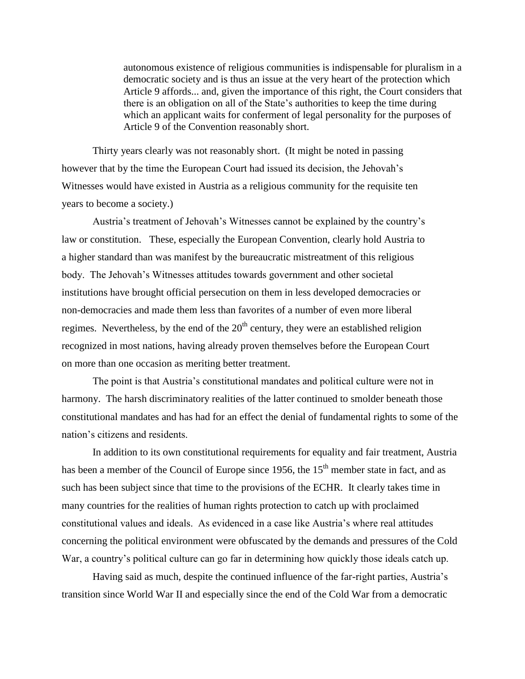autonomous existence of religious communities is indispensable for pluralism in a democratic society and is thus an issue at the very heart of the protection which Article 9 affords... and, given the importance of this right, the Court considers that there is an obligation on all of the State"s authorities to keep the time during which an applicant waits for conferment of legal personality for the purposes of Article 9 of the Convention reasonably short.

Thirty years clearly was not reasonably short. (It might be noted in passing however that by the time the European Court had issued its decision, the Jehovah"s Witnesses would have existed in Austria as a religious community for the requisite ten years to become a society.)

Austria"s treatment of Jehovah"s Witnesses cannot be explained by the country"s law or constitution. These, especially the European Convention, clearly hold Austria to a higher standard than was manifest by the bureaucratic mistreatment of this religious body. The Jehovah"s Witnesses attitudes towards government and other societal institutions have brought official persecution on them in less developed democracies or non-democracies and made them less than favorites of a number of even more liberal regimes. Nevertheless, by the end of the  $20<sup>th</sup>$  century, they were an established religion recognized in most nations, having already proven themselves before the European Court on more than one occasion as meriting better treatment.

The point is that Austria's constitutional mandates and political culture were not in harmony. The harsh discriminatory realities of the latter continued to smolder beneath those constitutional mandates and has had for an effect the denial of fundamental rights to some of the nation"s citizens and residents.

In addition to its own constitutional requirements for equality and fair treatment, Austria has been a member of the Council of Europe since 1956, the 15<sup>th</sup> member state in fact, and as such has been subject since that time to the provisions of the ECHR. It clearly takes time in many countries for the realities of human rights protection to catch up with proclaimed constitutional values and ideals. As evidenced in a case like Austria"s where real attitudes concerning the political environment were obfuscated by the demands and pressures of the Cold War, a country's political culture can go far in determining how quickly those ideals catch up.

Having said as much, despite the continued influence of the far-right parties, Austria"s transition since World War II and especially since the end of the Cold War from a democratic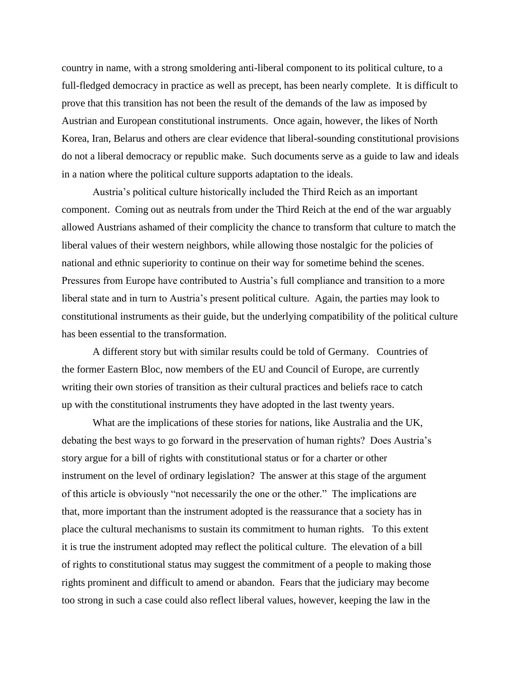country in name, with a strong smoldering anti-liberal component to its political culture, to a full-fledged democracy in practice as well as precept, has been nearly complete. It is difficult to prove that this transition has not been the result of the demands of the law as imposed by Austrian and European constitutional instruments. Once again, however, the likes of North Korea, Iran, Belarus and others are clear evidence that liberal-sounding constitutional provisions do not a liberal democracy or republic make. Such documents serve as a guide to law and ideals in a nation where the political culture supports adaptation to the ideals.

Austria"s political culture historically included the Third Reich as an important component. Coming out as neutrals from under the Third Reich at the end of the war arguably allowed Austrians ashamed of their complicity the chance to transform that culture to match the liberal values of their western neighbors, while allowing those nostalgic for the policies of national and ethnic superiority to continue on their way for sometime behind the scenes. Pressures from Europe have contributed to Austria's full compliance and transition to a more liberal state and in turn to Austria's present political culture. Again, the parties may look to constitutional instruments as their guide, but the underlying compatibility of the political culture has been essential to the transformation.

A different story but with similar results could be told of Germany. Countries of the former Eastern Bloc, now members of the EU and Council of Europe, are currently writing their own stories of transition as their cultural practices and beliefs race to catch up with the constitutional instruments they have adopted in the last twenty years.

What are the implications of these stories for nations, like Australia and the UK, debating the best ways to go forward in the preservation of human rights? Does Austria's story argue for a bill of rights with constitutional status or for a charter or other instrument on the level of ordinary legislation? The answer at this stage of the argument of this article is obviously "not necessarily the one or the other." The implications are that, more important than the instrument adopted is the reassurance that a society has in place the cultural mechanisms to sustain its commitment to human rights. To this extent it is true the instrument adopted may reflect the political culture. The elevation of a bill of rights to constitutional status may suggest the commitment of a people to making those rights prominent and difficult to amend or abandon. Fears that the judiciary may become too strong in such a case could also reflect liberal values, however, keeping the law in the